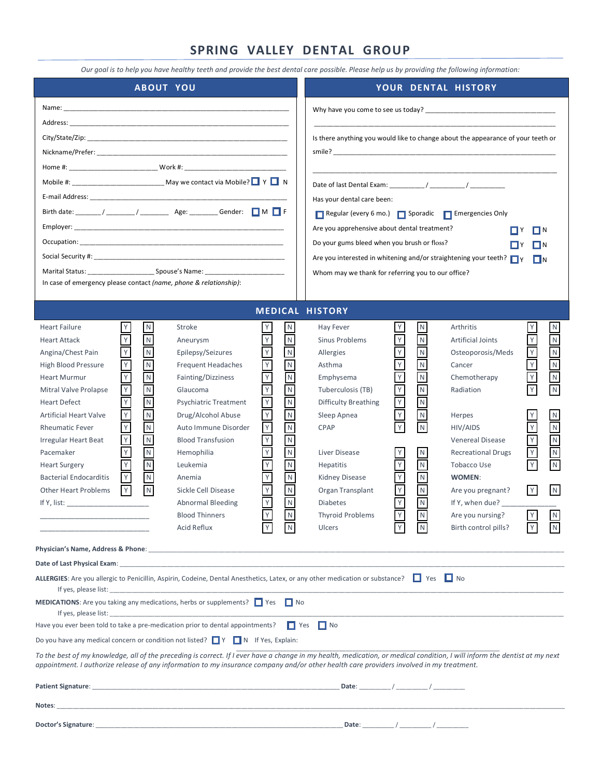# **SPRING VALLEY DENTAL GROUP**

*Our goal is to help you have healthy teeth and provide the best dental care possible. Please help us by providing the following information:*

| Is there anything you would like to change about the appearance of your teeth or<br>Mobile #: __________________________________ May we contact via Mobile? $\Box Y \Box N$<br>Has your dental care been:<br>Regular (every 6 mo.) Sporadic Femergencies Only<br>Are you apprehensive about dental treatment?<br>∏Y<br>◨Ň<br>Do your gums bleed when you brush or floss?<br>ΠΝ<br>Are you interested in whitening and/or straightening your teeth? $\Box$ Y<br>$\Box N$<br>Whom may we thank for referring you to our office?<br>In case of emergency please contact (name, phone & relationship):<br><b>MEDICAL HISTORY</b><br>$\mathsf Y$<br>${\sf N}$<br>${\sf N}$<br>${\sf N}$<br>Stroke<br>Y<br>Y<br>Arthritis<br>${\sf N}$<br><b>Heart Failure</b><br>Hay Fever<br>Υ<br>$\mathsf Y$<br>$\hbox{N}$<br>$\mathsf Y$<br>$\overline{N}$<br>Y<br>$\overline{N}$<br>Υ<br>$\mathsf{N}$<br>Sinus Problems<br><b>Heart Attack</b><br><b>Artificial Joints</b><br>Aneurysm<br>${\sf N}$<br>$\mathsf Y$<br>$\mathsf Y$<br>$\overline{\mathsf{N}}$<br>$\mathsf Y$<br>$\,$ N<br>$\mathsf{N}$<br>Epilepsy/Seizures<br>Osteoporosis/Meds<br>Angina/Chest Pain<br>Allergies<br>$\begin{array}{c}\nY \\ Y\n\end{array}$<br>${\sf N}$<br>$\mathsf Y$<br>$\mathsf N$<br>$\overline{\mathsf{N}}$<br>$\overline{\mathsf{Y}}$<br>$\mathsf Y$<br>$\mathsf{N}$<br><b>Frequent Headaches</b><br><b>High Blood Pressure</b><br>Asthma<br>Cancer<br>$\overline{\mathsf{N}}$<br>$\mathsf Y$<br>${\sf N}$<br>$\overline{\mathsf{Y}}$<br>Υ<br>${\sf N}$<br>${\sf N}$<br>Fainting/Dizziness<br><b>Heart Murmur</b><br>Emphysema<br>Chemotherapy<br>$\overline{N}$<br>$\overline{Y}$<br>$\mathsf Y$<br>$\overline{\mathsf{N}}$<br>$\overline{N}$<br>Υ<br>$\overline{\mathsf{N}}$<br>Y<br>Radiation<br>Mitral Valve Prolapse<br>Glaucoma<br>Tuberculosis (TB)<br>$\gamma$<br>$\mathsf Y$<br>$\overline{N}$<br>$\mathsf Y$<br>$\overline{\mathsf{N}}$<br>$\mathsf{N}$<br><b>Heart Defect</b><br><b>Difficulty Breathing</b><br><b>Psychiatric Treatment</b><br>$\mathsf Y$<br>$\mathsf Y$<br>$\overline{\mathsf{N}}$<br>$\mathsf Y$<br>$\mathsf N$<br>$\mathsf N$<br>Drug/Alcohol Abuse<br>${\sf N}$<br><b>Artificial Heart Valve</b><br>Sleep Apnea<br>Herpes<br>Υ<br>${\sf N}$<br>$\mathsf Y$<br>$\mathsf Y$<br>$\mathsf Y$<br>Y<br>$\overline{\mathsf{N}}$<br>${\sf N}$<br>${\sf N}$<br>Auto Immune Disorder<br>CPAP<br>HIV/AIDS<br><b>Rheumatic Fever</b><br>${\sf N}$<br>$\mathsf Y$<br>$\mathsf Y$<br>$\overline{\mathsf{Y}}$<br>${\sf N}$<br>${\sf N}$<br>Irregular Heart Beat<br><b>Blood Transfusion</b><br>Venereal Disease<br>$\mathsf Y$<br>$\hbox{N}$<br>$\overline{\mathsf{N}}$<br>$\mathbf Z$<br>$\mathsf Y$<br>Υ<br>$\mathsf{N}$<br><b>Recreational Drugs</b><br>Pacemaker<br>Hemophilia<br>Liver Disease<br>$\mathsf N$<br>$\ensuremath{\mathsf{Y}}$<br>$\mathsf Y$<br>$\overline{\mathsf{N}}$<br>$\mathsf Y$<br>$\overline{\mathsf{N}}$<br>$\mathsf{N}$<br><b>Heart Surgery</b><br>Leukemia<br><b>Hepatitis</b><br>Tobacco Use<br>$\mathsf Y$<br>$\overline{\mathsf{N}}$<br>$\overline{\mathsf{N}}$<br><b>Bacterial Endocarditis</b><br>Kidney Disease<br>$\mathsf{N}$<br>Anemia<br>WOMEN:<br>$\overline{\mathsf{Y}}$<br>Υ<br>$\overline{N}$<br>Y<br>N <sub>1</sub><br>N<br>$\mathsf{N}$<br> Y <br>Sickle Cell Disease<br>Organ Transplant<br><b>Other Heart Problems</b><br>Are you pregnant?<br>$\mathsf Y$<br>$\overline{\mathsf{Y}}$<br>$\blacksquare$<br>$\mathsf{N}$<br><b>Abnormal Bleeding</b><br><b>Diabetes</b><br>If Y, when due?<br>Y<br>${\sf N}$<br>$\overline{N}$<br>N <sub>1</sub><br>Y<br><b>Blood Thinners</b><br><b>Thyroid Problems</b><br>Are you nursing?<br>Birth control pills?<br>Acid Reflux<br><b>Ulcers</b><br>N<br>N<br>Date of Last Physical Exam: Notified the state of the state of the state of Last Physical Exam of the state of the state of the state of the state of the state of the state of the state of the state of the state of the sta<br>ALLERGIES: Are you allergic to Penicillin, Aspirin, Codeine, Dental Anesthetics, Latex, or any other medication or substance? $\Box$ Yes $\Box$ No<br><b>MEDICATIONS:</b> Are you taking any medications, herbs or supplements? $\Box$ Yes $\Box$ No<br>If yes, please list:<br>Have you ever been told to take a pre-medication prior to dental appointments? $\Box$ Yes $\Box$ No<br>Do you have any medical concern or condition not listed? $\Box Y$ $\Box N$ If Yes, Explain:<br>To the best of my knowledge, all of the preceding is correct. If I ever have a change in my health, medication, or medical condition, I will inform the dentist at my next<br>appointment. I authorize release of any information to my insurance company and/or other health care providers involved in my treatment.<br>Date: $/$ /<br>Notes: | <b>ABOUT YOU</b> | YOUR DENTAL HISTORY |  |  |  |  |  |  |  |
|-------------------------------------------------------------------------------------------------------------------------------------------------------------------------------------------------------------------------------------------------------------------------------------------------------------------------------------------------------------------------------------------------------------------------------------------------------------------------------------------------------------------------------------------------------------------------------------------------------------------------------------------------------------------------------------------------------------------------------------------------------------------------------------------------------------------------------------------------------------------------------------------------------------------------------------------------------------------------------------------------------------------------------------------------------------------------------------------------------------------------------------------------------------------------------------------------------------------------------------------------------------------------------------------------------------------------------------------------------------------------------------------------------------------------------------------------------------------------------------------------------------------------------------------------------------------------------------------------------------------------------------------------------------------------------------------------------------------------------------------------------------------------------------------------------------------------------------------------------------------------------------------------------------------------------------------------------------------------------------------------------------------------------------------------------------------------------------------------------------------------------------------------------------------------------------------------------------------------------------------------------------------------------------------------------------------------------------------------------------------------------------------------------------------------------------------------------------------------------------------------------------------------------------------------------------------------------------------------------------------------------------------------------------------------------------------------------------------------------------------------------------------------------------------------------------------------------------------------------------------------------------------------------------------------------------------------------------------------------------------------------------------------------------------------------------------------------------------------------------------------------------------------------------------------------------------------------------------------------------------------------------------------------------------------------------------------------------------------------------------------------------------------------------------------------------------------------------------------------------------------------------------------------------------------------------------------------------------------------------------------------------------------------------------------------------------------------------------------------------------------------------------------------------------------------------------------------------------------------------------------------------------------------------------------------------------------------------------------------------------------------------------------------------------------------------------------------------------------------------------------------------------------------------------------------------------------------------------------------------------------------------------------------------------------------------------------------------------------------------------------------------------------------------------------------------------------------------------------------------------------------------------------------------------------------------------------------------------------------------------------------------------------------------------------------------------------------------------------------------------------------------------------------------------------------------------|------------------|---------------------|--|--|--|--|--|--|--|
|                                                                                                                                                                                                                                                                                                                                                                                                                                                                                                                                                                                                                                                                                                                                                                                                                                                                                                                                                                                                                                                                                                                                                                                                                                                                                                                                                                                                                                                                                                                                                                                                                                                                                                                                                                                                                                                                                                                                                                                                                                                                                                                                                                                                                                                                                                                                                                                                                                                                                                                                                                                                                                                                                                                                                                                                                                                                                                                                                                                                                                                                                                                                                                                                                                                                                                                                                                                                                                                                                                                                                                                                                                                                                                                                                                                                                                                                                                                                                                                                                                                                                                                                                                                                                                                                                                                                                                                                                                                                                                                                                                                                                                                                                                                                                                                                                   |                  |                     |  |  |  |  |  |  |  |
|                                                                                                                                                                                                                                                                                                                                                                                                                                                                                                                                                                                                                                                                                                                                                                                                                                                                                                                                                                                                                                                                                                                                                                                                                                                                                                                                                                                                                                                                                                                                                                                                                                                                                                                                                                                                                                                                                                                                                                                                                                                                                                                                                                                                                                                                                                                                                                                                                                                                                                                                                                                                                                                                                                                                                                                                                                                                                                                                                                                                                                                                                                                                                                                                                                                                                                                                                                                                                                                                                                                                                                                                                                                                                                                                                                                                                                                                                                                                                                                                                                                                                                                                                                                                                                                                                                                                                                                                                                                                                                                                                                                                                                                                                                                                                                                                                   |                  |                     |  |  |  |  |  |  |  |
|                                                                                                                                                                                                                                                                                                                                                                                                                                                                                                                                                                                                                                                                                                                                                                                                                                                                                                                                                                                                                                                                                                                                                                                                                                                                                                                                                                                                                                                                                                                                                                                                                                                                                                                                                                                                                                                                                                                                                                                                                                                                                                                                                                                                                                                                                                                                                                                                                                                                                                                                                                                                                                                                                                                                                                                                                                                                                                                                                                                                                                                                                                                                                                                                                                                                                                                                                                                                                                                                                                                                                                                                                                                                                                                                                                                                                                                                                                                                                                                                                                                                                                                                                                                                                                                                                                                                                                                                                                                                                                                                                                                                                                                                                                                                                                                                                   |                  |                     |  |  |  |  |  |  |  |
|                                                                                                                                                                                                                                                                                                                                                                                                                                                                                                                                                                                                                                                                                                                                                                                                                                                                                                                                                                                                                                                                                                                                                                                                                                                                                                                                                                                                                                                                                                                                                                                                                                                                                                                                                                                                                                                                                                                                                                                                                                                                                                                                                                                                                                                                                                                                                                                                                                                                                                                                                                                                                                                                                                                                                                                                                                                                                                                                                                                                                                                                                                                                                                                                                                                                                                                                                                                                                                                                                                                                                                                                                                                                                                                                                                                                                                                                                                                                                                                                                                                                                                                                                                                                                                                                                                                                                                                                                                                                                                                                                                                                                                                                                                                                                                                                                   |                  |                     |  |  |  |  |  |  |  |
|                                                                                                                                                                                                                                                                                                                                                                                                                                                                                                                                                                                                                                                                                                                                                                                                                                                                                                                                                                                                                                                                                                                                                                                                                                                                                                                                                                                                                                                                                                                                                                                                                                                                                                                                                                                                                                                                                                                                                                                                                                                                                                                                                                                                                                                                                                                                                                                                                                                                                                                                                                                                                                                                                                                                                                                                                                                                                                                                                                                                                                                                                                                                                                                                                                                                                                                                                                                                                                                                                                                                                                                                                                                                                                                                                                                                                                                                                                                                                                                                                                                                                                                                                                                                                                                                                                                                                                                                                                                                                                                                                                                                                                                                                                                                                                                                                   |                  |                     |  |  |  |  |  |  |  |
|                                                                                                                                                                                                                                                                                                                                                                                                                                                                                                                                                                                                                                                                                                                                                                                                                                                                                                                                                                                                                                                                                                                                                                                                                                                                                                                                                                                                                                                                                                                                                                                                                                                                                                                                                                                                                                                                                                                                                                                                                                                                                                                                                                                                                                                                                                                                                                                                                                                                                                                                                                                                                                                                                                                                                                                                                                                                                                                                                                                                                                                                                                                                                                                                                                                                                                                                                                                                                                                                                                                                                                                                                                                                                                                                                                                                                                                                                                                                                                                                                                                                                                                                                                                                                                                                                                                                                                                                                                                                                                                                                                                                                                                                                                                                                                                                                   |                  |                     |  |  |  |  |  |  |  |
| Doctor's Signature:<br>Date: $/$ /                                                                                                                                                                                                                                                                                                                                                                                                                                                                                                                                                                                                                                                                                                                                                                                                                                                                                                                                                                                                                                                                                                                                                                                                                                                                                                                                                                                                                                                                                                                                                                                                                                                                                                                                                                                                                                                                                                                                                                                                                                                                                                                                                                                                                                                                                                                                                                                                                                                                                                                                                                                                                                                                                                                                                                                                                                                                                                                                                                                                                                                                                                                                                                                                                                                                                                                                                                                                                                                                                                                                                                                                                                                                                                                                                                                                                                                                                                                                                                                                                                                                                                                                                                                                                                                                                                                                                                                                                                                                                                                                                                                                                                                                                                                                                                                |                  |                     |  |  |  |  |  |  |  |